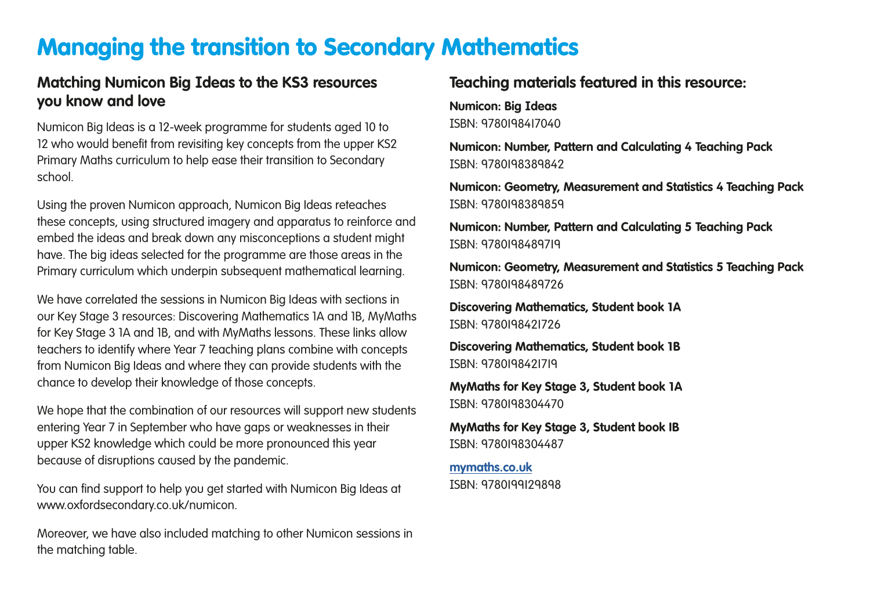## Managing the transition to Secondary Mathematics

## **Matching Numicon Big Ideas to the KS3 resources you know and love**

Numicon Big Ideas is a 12-week programme for students aged 10 to 12 who would benefit from revisiting key concepts from the upper KS2 Primary Maths curriculum to help ease their transition to Secondary school.

Using the proven Numicon approach, Numicon Big Ideas reteaches these concepts, using structured imagery and apparatus to reinforce and embed the ideas and break down any misconceptions a student might have. The big ideas selected for the programme are those areas in the Primary curriculum which underpin subsequent mathematical learning.

We have correlated the sessions in Numicon Big Ideas with sections in our Key Stage 3 resources: Discovering Mathematics 1A and 1B, MyMaths for Key Stage 3 1A and 1B, and with MyMaths lessons. These links allow teachers to identify where Year 7 teaching plans combine with concepts from Numicon Big Ideas and where they can provide students with the chance to develop their knowledge of those concepts.

We hope that the combination of our resources will support new students entering Year 7 in September who have gaps or weaknesses in their upper KS2 knowledge which could be more pronounced this year because of disruptions caused by the pandemic.

You can find support to help you get started with Numicon Big Ideas at www.oxfordsecondary.co.uk/numicon.

Moreover, we have also included matching to other Numicon sessions in the matching table.

## **Teaching materials featured in this resource:**

**Numicon: Big Ideas** ISBN: 9780198417040

**Numicon: Number, Pattern and Calculating 4 Teaching Pack** ISBN: 9780198389842

**Numicon: Geometry, Measurement and Statistics 4 Teaching Pack** ISBN: 9780198389859

**Numicon: Number, Pattern and Calculating 5 Teaching Pack** ISBN: 9780198489719

**Numicon: Geometry, Measurement and Statistics 5 Teaching Pack** ISBN: 9780198489726

**Discovering Mathematics, Student book 1A** ISBN: 9780198421726

**Discovering Mathematics, Student book 1B** ISBN: 9780198421719

**MyMaths for Key Stage 3, Student book 1A** ISBN: 9780198304470

**MyMaths for Key Stage 3, Student book 1B** ISBN: 9780198304487

**[mymaths.co.uk](www.mymaths.co.uk)** ISBN: 9780199129898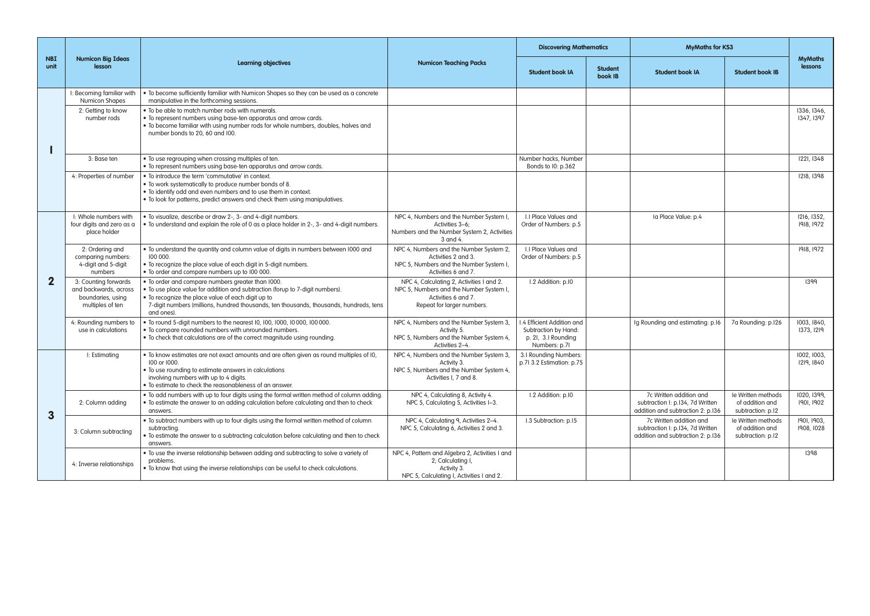| <b>NBI</b><br>unit | <b>Numicon Big Ideas</b><br>lesson                                                     | <b>Learning objectives</b>                                                                                                                                                                                                                                                                       | <b>Numicon Teaching Packs</b>                                                                                                             | <b>Discovering Mathematics</b>                                                            |                           | <b>MyMaths for KS3</b>                                                                           |                                                            |                           |
|--------------------|----------------------------------------------------------------------------------------|--------------------------------------------------------------------------------------------------------------------------------------------------------------------------------------------------------------------------------------------------------------------------------------------------|-------------------------------------------------------------------------------------------------------------------------------------------|-------------------------------------------------------------------------------------------|---------------------------|--------------------------------------------------------------------------------------------------|------------------------------------------------------------|---------------------------|
|                    |                                                                                        |                                                                                                                                                                                                                                                                                                  |                                                                                                                                           | <b>Student book IA</b>                                                                    | <b>Student</b><br>book IB | <b>Student book IA</b>                                                                           | <b>Student book IB</b>                                     | <b>MyMaths</b><br>lessons |
|                    | I: Becoming familiar with<br><b>Numicon Shapes</b>                                     | • To become sufficiently familiar with Numicon Shapes so they can be used as a concrete<br>manipulative in the forthcoming sessions.                                                                                                                                                             |                                                                                                                                           |                                                                                           |                           |                                                                                                  |                                                            |                           |
|                    | 2: Getting to know<br>number rods                                                      | . To be able to match number rods with numerals.<br>• To represent numbers using base-ten apparatus and arrow cards.<br>. To become familiar with using number rods for whole numbers, doubles, halves and<br>number bonds to 20, 60 and 100.                                                    |                                                                                                                                           |                                                                                           |                           |                                                                                                  |                                                            | 1336, 1346,<br>1347, 1397 |
|                    | 3: Base ten                                                                            | . To use regrouping when crossing multiples of ten.<br>• To represent numbers using base-ten apparatus and arrow cards.                                                                                                                                                                          |                                                                                                                                           | Number hacks, Number<br>Bonds to I0: p.362                                                |                           |                                                                                                  |                                                            | 1221, 1348                |
|                    | 4: Properties of number                                                                | . To introduce the term 'commutative' in context.<br>. To work systematically to produce number bonds of 8.<br>. To identify odd and even numbers and to use them in context.<br>. To look for patterns, predict answers and check them using manipulatives.                                     |                                                                                                                                           |                                                                                           |                           |                                                                                                  |                                                            | 1218, 1398                |
| $\overline{2}$     | I: Whole numbers with<br>four digits and zero as a<br>place holder                     | · To visualize, describe or draw 2-, 3- and 4-digit numbers.<br>. To understand and explain the role of 0 as a place holder in 2-, 3- and 4-digit numbers.                                                                                                                                       | NPC 4, Numbers and the Number System I,<br>Activities 3-6;<br>Numbers and the Number System 2, Activities<br>3 and 4.                     | I.I Place Values and<br>Order of Numbers: p.5                                             |                           | la Place Value: p.4                                                                              |                                                            | 1216, 1352,<br>1918, 1972 |
|                    | 2: Ordering and<br>comparina numbers:<br>4-digit and 5-digit<br>numbers                | . To understand the quantity and column value of digits in numbers between 1000 and<br>100 000.<br>. To recognize the place value of each digit in 5-digit numbers.<br>. To order and compare numbers up to 100 000.                                                                             | NPC 4, Numbers and the Number System 2,<br>Activities 2 and 3.<br>NPC 5, Numbers and the Number System I,<br>Activities 6 and 7.          | <b>LI Place Values and</b><br>Order of Numbers: p.5                                       |                           |                                                                                                  |                                                            | 1918, 1972                |
|                    | 3: Counting forwards<br>and backwards, across<br>boundaries, using<br>multiples of ten | . To order and compare numbers greater than 1000.<br>. To use place value for addition and subtraction (forup to 7-digit numbers).<br>• To recoanize the place value of each diait up to<br>7-digit numbers (millions, hundred thousands, ten thousands, thousands, hundreds, tens<br>and ones). | NPC 4, Calculating 2, Activities I and 2.<br>NPC 5, Numbers and the Number System I,<br>Activities 6 and 7.<br>Repeat for larger numbers. | I.2 Addition: p.I0                                                                        |                           |                                                                                                  |                                                            | 1399                      |
|                    | 4: Rounding numbers to<br>use in calculations                                          | . To round 5-digit numbers to the nearest 10, 100, 1000, 10000, 100 000.<br>. To compare rounded numbers with unrounded numbers.<br>. To check that calculations are of the correct magnitude using rounding.                                                                                    | NPC 4, Numbers and the Number System 3,<br>Activity 5.<br>NPC 5, Numbers and the Number System 4,<br>Activities 2-4                       | .4 Efficient Addition and<br>Subtraction by Hand:<br>p. 2I, 3.I Rounding<br>Numbers: p.7I |                           | Iq Rounding and estimating: p.16                                                                 | 7a Rounding: p.I26                                         | 1003, 1840.<br>1373, 1219 |
| 3                  | I: Estimating                                                                          | • To know estimates are not exact amounts and are often given as round multiples of 10,<br>100 or 1000.<br>. To use rounding to estimate answers in calculations<br>involving numbers with up to 4 digits.<br>. To estimate to check the reasonableness of an answer.                            | NPC 4, Numbers and the Number System 3,<br>Activity 3.<br>NPC 5, Numbers and the Number System 4,<br>Activities I, 7 and 8.               | 3.I Roundina Numbers:<br>p.7I 3.2 Estimation: p.75                                        |                           |                                                                                                  |                                                            | 1002, 1003.<br>1219, 1840 |
|                    | 2: Column adding                                                                       | . To add numbers with up to four digits using the formal written method of column adding.<br>• To estimate the answer to an adding calculation before calculating and then to check<br>answers.                                                                                                  | NPC 4, Calculating 8, Activity 4.<br>NPC 5, Calculating 5, Activities I-3.                                                                | I.2 Addition: p.I0                                                                        |                           | 7c Written addition and<br>subtraction I: p.134, 7d Written<br>addition and subtraction 2: p.136 | le Written methods<br>of addition and<br>subtraction: p.I2 | 1020, 1399.<br>1901, 1902 |
|                    | 3: Column subtracting                                                                  | • To subtract numbers with up to four digits using the formal written method of column<br>subtracting.<br>• To estimate the answer to a subtracting calculation before calculating and then to check<br>answers                                                                                  | NPC 4, Calculating 9, Activities 2-4.<br>NPC 5, Calculating 6, Activities 2 and 3.                                                        | I.3 Subtraction: p.I5                                                                     |                           | 7c Written addition and<br>subtraction I: p.134, 7d Written<br>addition and subtraction 2: p.136 | le Written methods<br>of addition and<br>subtraction: p.I2 | 1901, 1903.<br>1908, 1028 |
|                    | 4: Inverse relationships                                                               | . To use the inverse relationship between adding and subtracting to solve a variety of<br>problems<br>. To know that using the inverse relationships can be useful to check calculations.                                                                                                        | NPC 4, Pattern and Algebra 2, Activities I and<br>2; Calculating I,<br>Activity 3.<br>NPC 5, Calculating I, Activities I and 2.           |                                                                                           |                           |                                                                                                  |                                                            | 1398                      |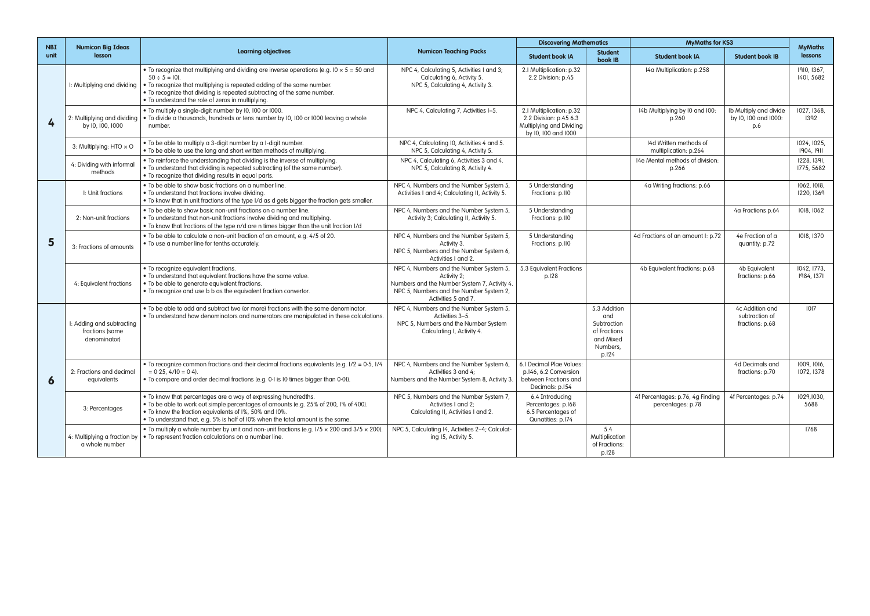| <b>NBI</b><br>unit | <b>Numicon Big Ideas</b><br>lesson                           | <b>Learning objectives</b>                                                                                                                                                                                                                                                                                                        |                                                                                                                                                                          | <b>Discovering Mathematics</b>                                                                        |                                                                                      | <b>MyMaths for KS3</b>                                |                                                       | <b>MyMaths</b>            |
|--------------------|--------------------------------------------------------------|-----------------------------------------------------------------------------------------------------------------------------------------------------------------------------------------------------------------------------------------------------------------------------------------------------------------------------------|--------------------------------------------------------------------------------------------------------------------------------------------------------------------------|-------------------------------------------------------------------------------------------------------|--------------------------------------------------------------------------------------|-------------------------------------------------------|-------------------------------------------------------|---------------------------|
|                    |                                                              |                                                                                                                                                                                                                                                                                                                                   | <b>Numicon Teaching Packs</b>                                                                                                                                            | <b>Student book IA</b>                                                                                | <b>Student</b><br>book IB                                                            | <b>Student book IA</b>                                | <b>Student book IB</b>                                | lessons                   |
| 4                  | I: Multiplying and dividing                                  | • To recognize that multiplying and dividing are inverse operations (e.g. $10 \times 5 = 50$ and<br>$50 \div 5 = 10$ .<br>• To recognize that multiplying is repeated adding of the same number.<br>. To recognize that dividing is repeated subtracting of the same number.<br>. To understand the role of zeros in multiplying. | NPC 4, Calculating 5, Activities I and 3;<br>Calculating 6, Activity 5.<br>NPC 5, Calculating 4, Activity 3.                                                             | 2.1 Multiplication: p.32<br>2.2 Division: p.45                                                        |                                                                                      | 14a Multiplication: p.258                             |                                                       | 1910, 1367.<br>1401, 5682 |
|                    | 2: Multiplying and dividing<br>by I0, I00, I000              | . To multiply a single-digit number by 10, 100 or 1000.<br>. To divide a thousands, hundreds or tens number by 10, 100 or 1000 leaving a whole<br>number.                                                                                                                                                                         | NPC 4, Calculating 7, Activities I-5.                                                                                                                                    | 2.1 Multiplication: p.32<br>2.2 Division: p.45 6.3<br>Multiplying and Dividing<br>by 10, 100 and 1000 |                                                                                      | 14b Multiplying by 10 and 100:<br>p.260               | Ib Multiply and divide<br>by 10, 100 and 1000:<br>p.6 | 1027, 1368.<br>1392       |
|                    | 3: Multiplying: HTO $\times$ O                               | . To be able to multiply a 3-digit number by a I-digit number.<br>• To be able to use the long and short written methods of multiplying.                                                                                                                                                                                          | NPC 4, Calculating I0, Activities 4 and 5.<br>NPC 5, Calculating 4, Activity 5.                                                                                          |                                                                                                       |                                                                                      | 14d Written methods of<br>multiplication: p.264       |                                                       | 1024, 1025.<br>1904, 1911 |
|                    | 4: Dividing with informal<br>methods                         | • To reinforce the understanding that dividing is the inverse of multiplying.<br>• To understand that dividing is repeated subtracting (of the same number).<br>. To recognize that dividing results in equal parts.                                                                                                              | NPC 4, Calculating 6, Activities 3 and 4.<br>NPC 5, Calculating 8, Activity 4.                                                                                           |                                                                                                       |                                                                                      | 14e Mental methods of division:<br>p.266              |                                                       | 1228, 1391.<br>1775, 5682 |
| 5                  | I: Unit fractions                                            | • To be able to show basic fractions on a number line.<br>. To understand that fractions involve dividing.<br>• To know that in unit fractions of the type I/d as d gets bigger the fraction gets smaller.                                                                                                                        | NPC 4. Numbers and the Number System 5.<br>Activities I and 4; Calculating II, Activity 5.                                                                               | 5 Understandina<br>Fractions: p.II0                                                                   |                                                                                      | 4a Writing fractions: p.66                            |                                                       | 1062, 1018.<br>1220, 1369 |
|                    | 2: Non-unit fractions                                        | . To be able to show basic non-unit fractions on a number line.<br>• To understand that non-unit fractions involve dividing and multiplying.<br>. To know that fractions of the type n/d are n times bigger than the unit fraction I/d                                                                                            | NPC 4, Numbers and the Number System 5,<br>Activity 3; Calculating II, Activity 5.                                                                                       | 5 Understanding<br>Fractions: p.II0                                                                   |                                                                                      |                                                       | 4a Fractions p.64                                     | 1018, 1062                |
|                    | 3: Fractions of amounts                                      | . To be able to calculate a non-unit fraction of an amount, e.g. 4/5 of 20.<br>• To use a number line for tenths accurately.                                                                                                                                                                                                      | NPC 4, Numbers and the Number System 5,<br>Activity 3.<br>NPC 5, Numbers and the Number System 6,<br>Activities I and 2.                                                 | 5 Understanding<br>Fractions: p.II0                                                                   |                                                                                      | 4d Fractions of an amount I: p.72                     | 4e Fraction of a<br>quantity: p.72                    | 1018, 1370                |
|                    | 4: Equivalent fractions                                      | · To recognize equivalent fractions.<br>. To understand that equivalent fractions have the same value.<br>• To be able to aenerate eauivalent fractions.<br>• To recognize and use b b as the equivalent fraction convertor.                                                                                                      | NPC 4, Numbers and the Number System 5,<br>Activity 2;<br>Numbers and the Number System 7, Activity 4.<br>NPC 5, Numbers and the Number System 2,<br>Activities 5 and 7. | 5.3 Equivalent Fractions<br>p.128                                                                     |                                                                                      | 4b Equivalent fractions: p.68                         | 4b Equivalent<br>fractions: p.66                      | 1042, 1773,<br>1984, 1371 |
| 6                  | I: Adding and subtracting<br>fractions (same<br>denominator) | • To be able to add and subtract two (or more) fractions with the same denominator.<br>. To understand how denominators and numerators are manipulated in these calculations.                                                                                                                                                     | NPC 4, Numbers and the Number System 5,<br>Activities 3-5.<br>NPC 5, Numbers and the Number System<br>Calculatina I. Activity 4.                                         |                                                                                                       | 5.3 Addition<br>and<br>Subtraction<br>of Fractions<br>and Mixed<br>Numbers.<br>p.124 |                                                       | 4c Addition and<br>subtraction of<br>fractions: p.68  | 1017                      |
|                    | 2: Fractions and decimal<br>equivalents                      | To recognize common fractions and their decimal fractions equivalents (e.g. $1/2 = 0.5$ , $1/4$<br>$= 0.25, 4/10 = 0.4$ .<br>• To compare and order decimal fractions (e.g. 0.1 is 10 times bigger than 0.01).                                                                                                                    | NPC 4, Numbers and the Number System 6,<br>Activities 3 and 4:<br>Numbers and the Number System 8, Activity 3.                                                           | 6.I Decimal Plae Values:<br>p.146, 6.2 Conversion<br>between Fractions and<br>Decimals: p.154         |                                                                                      |                                                       | 4d Decimals and<br>fractions: p.70                    | 1009, 1016.<br>1072, 1378 |
|                    | 3: Percentages                                               | • To know that percentages are a way of expressing hundredths.<br>• To be able to work out simple percentages of amounts (e.g. 25% of 200, I% of 400).<br>. To know the fraction equivalents of I%, 50% and I0%.<br>• To understand that, e.g. 5% is half of 10% when the total amount is the same.                               | NPC 5, Numbers and the Number System 7,<br>Activities I and 2:<br>Calculating II, Activities I and 2.                                                                    | 6.4 Introducina<br>Percentages: p.168<br>6.5 Percentages of<br>Qunatities: p.174                      |                                                                                      | 4f Percentages: p.76, 4g Finding<br>percentages: p.78 | 4f Percentages: p.74                                  | 1029,1030,<br>5688        |
|                    | 4: Multiplying a fraction by<br>a whole number               | • To multiply a whole number by unit and non-unit fractions (e.g. $1/5 \times 200$ and $3/5 \times 200$ )<br>• To represent fraction calculations on a number line.                                                                                                                                                               | NPC 5, Calculating 14, Activities 2-4; Calculat-<br>ing 15, Activity 5.                                                                                                  |                                                                                                       | 5.4<br>Multiplication<br>of Fractions:<br>p.128                                      |                                                       |                                                       | 1768                      |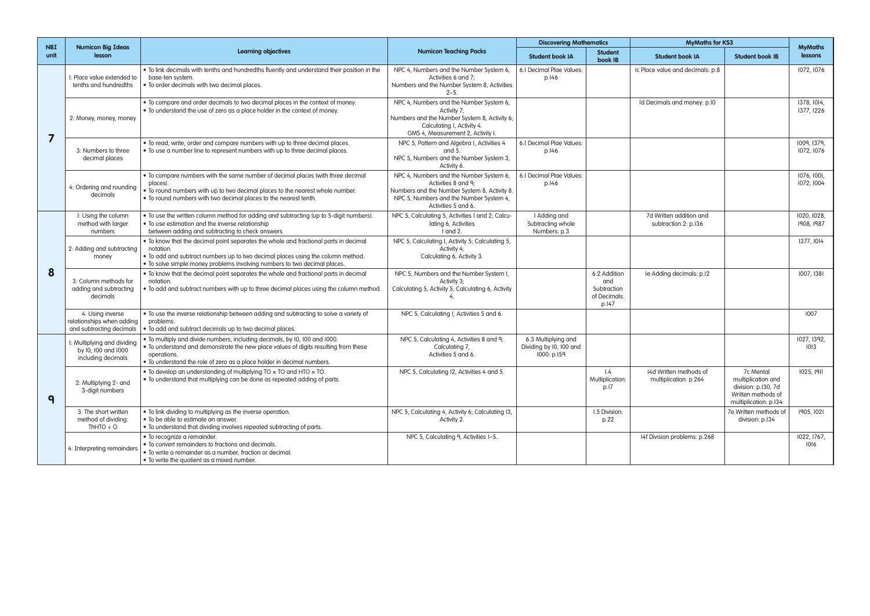| <b>NBI</b> | <b>Numicon Big Ideas</b><br>lesson                                        | <b>Learning objectives</b>                                                                                                                                                                                                                                        | <b>Numicon Teaching Packs</b>                                                                                                                                                    | <b>Discovering Mathematics</b>                                |                                                             | <b>MyMaths for KS3</b>                          |                                                                                                       | <b>MyMaths</b>            |
|------------|---------------------------------------------------------------------------|-------------------------------------------------------------------------------------------------------------------------------------------------------------------------------------------------------------------------------------------------------------------|----------------------------------------------------------------------------------------------------------------------------------------------------------------------------------|---------------------------------------------------------------|-------------------------------------------------------------|-------------------------------------------------|-------------------------------------------------------------------------------------------------------|---------------------------|
| unit       |                                                                           |                                                                                                                                                                                                                                                                   |                                                                                                                                                                                  | <b>Student book IA</b>                                        | <b>Student</b><br>book IB                                   | <b>Student book IA</b>                          | <b>Student book IB</b>                                                                                | lessons                   |
| 7          | I: Place value extended to<br>tenths and hundredths                       | • To link decimals with tenths and hundredths fluently and understand their position in the<br>base-ten system.<br>. To order decimals with two decimal places.                                                                                                   | NPC 4, Numbers and the Number System 6,<br>Activities 6 and 7;<br>Numbers and the Number System 8, Activities<br>$2 - 5$ .                                                       | 6.I Decimal Plae Values:<br>p.146                             |                                                             | Ic Place value and decimals: p.8                |                                                                                                       | 1072, 1076                |
|            | 2: Money, money, money                                                    | . To compare and order decimals to two decimal places in the context of money.<br>• To understand the use of zero as a place holder in the context of money.                                                                                                      | NPC 4, Numbers and the Number System 6,<br>Activity 7:<br>Numbers and the Number System 8, Activity 6;<br>Calculating I, Activity 4.<br>GMS 4, Measurement 2, Activity I         |                                                               |                                                             | Id Decimals and money: p.I0                     |                                                                                                       | 1378, 1014.<br>1377, 1226 |
|            | 3: Numbers to three<br>decimal places                                     | . To read, write, order and compare numbers with up to three decimal places.<br>. To use a number line to represent numbers with up to three decimal places.                                                                                                      | NPC 5, Pattern and Algebra I, Activities 4<br>and 5.<br>NPC 5, Numbers and the Number System 3,<br>Activity 6.                                                                   | 6.I Decimal Plae Values:<br>p.146                             |                                                             |                                                 |                                                                                                       | 1009, 1379.<br>1072, 1076 |
|            | 4: Ordering and rounding<br>decimals                                      | • To compare numbers with the same number of decimal places (with three decimal<br>places).<br>. To round numbers with up to two decimal places to the nearest whole number.<br>. To round numbers with two decimal places to the nearest tenth.                  | NPC 4, Numbers and the Number System 6,<br>Activities 8 and 9:<br>Numbers and the Number System 8, Activity 8.<br>NPC 5, Numbers and the Number System 4,<br>Activities 5 and 6. | 6.1 Decimal Plae Values:<br>p.146                             |                                                             |                                                 |                                                                                                       | 1076, 1001.<br>1072, 1004 |
| 8          | I: Using the column<br>method with larger<br>numbers                      | • To use the written column method for adding and subtracting (up to 5-digit numbers).<br>. To use estimation and the inverse relationship<br>between adding and subtracting to check answers.                                                                    | NPC 5, Calculating 5, Activities I and 2; Calcu-<br>lating 6, Activities<br>I and 2.                                                                                             | I Adding and<br>Subtracting whole<br>Numbers: p.3             |                                                             | 7d Written addition and<br>subtraction 2: p.136 |                                                                                                       | 1020, 1028,<br>1908, 1987 |
|            | 2: Adding and subtracting<br>money                                        | • To know that the decimal point separates the whole and fractional parts in decimal<br>notation.<br>. To add and subtract numbers up to two decimal places using the column method.<br>. To solve simple money problems involving numbers to two decimal places. | NPC 5, Calculating I, Activity 5; Calculating 5,<br>Activity 4;<br>Calculating 6, Activity 3.                                                                                    |                                                               |                                                             |                                                 |                                                                                                       | 1377, 1014                |
|            | 3: Column methods for<br>adding and subtracting<br>decimals               | • To know that the decimal point separates the whole and fractional parts in decimal<br>notation.<br>• To add and subtract numbers with up to three decimal places using the column method.                                                                       | NPC 5, Numbers and the Number System I,<br>Activity 3;<br>Calculating 5, Activity 5; Calculating 6, Activity                                                                     |                                                               | 6.2 Addition<br>and<br>Subtraction<br>of Decimals:<br>p.147 | le Adding decimals: p.I2                        |                                                                                                       | 1007, 1381                |
|            | 4: Using inverse<br>relationships when adding<br>and subtracting decimals | • To use the inverse relationship between adding and subtracting to solve a variety of<br>problems.<br>. To add and subtract decimals up to two decimal places.                                                                                                   | NPC 5, Calculating I, Activities 5 and 6.                                                                                                                                        |                                                               |                                                             |                                                 |                                                                                                       | 1007                      |
| q          | I: Multiplying and dividing<br>by I0, I00 and I000<br>including decimals  | . To multiply and divide numbers, including decimals, by 10, 100 and 1000.<br>. To understand and demonstrate the new place values of digits resulting from these<br>operations.<br>. To understand the role of zero as a place holder in decimal numbers.        | NPC 5, Calculating 4, Activities 8 and 9;<br>Calculatina 7.<br>Activities 5 and 6.                                                                                               | 6.3 Multiplying and<br>Dividing by 10, 100 and<br>1000: p.159 |                                                             |                                                 |                                                                                                       | 1027, 1392,<br>1013       |
|            | 2: Multiplying 2- and<br>3-digit numbers                                  | • To develop an understanding of multiplying TO $\times$ TO and HTO $\times$ TO.<br>• To understand that multiplying can be done as repeated adding of parts.                                                                                                     | NPC 5, Calculating 12, Activities 4 and 5.                                                                                                                                       |                                                               | 1.4<br>Multiplication:<br>p.I7                              | 14d Written methods of<br>multiplication: p.264 | 7c Mental<br>multiplication and<br>division: p.130, 7d<br>Written methods of<br>multiplication: p.134 | 1025, 1911                |
|            | 3: The short written<br>method of dividing:<br>ThHTO $\div$ O             | . To link dividing to multiplying as the inverse operation.<br>• To be able to estimate an answer.<br>. To understand that dividing involves repeated subtracting of parts.                                                                                       | NPC 5, Calculating 4, Activity 6; Calculating 13,<br>Activity 2.                                                                                                                 |                                                               | I.5 Division:<br>p.22                                       |                                                 | 7e Written methods of<br>division: p.I34                                                              | 1905, 1021                |
|            | 4: Interpreting remainders                                                | · To recognize a remainder.<br>• To convert remainders to fractions and decimals.<br>• To write a remainder as a number, fraction or decimal.<br>. To write the quotient as a mixed number.                                                                       | NPC 5, Calculating 9, Activities I-5.                                                                                                                                            |                                                               |                                                             | 14f Division problems: p.268                    |                                                                                                       | 1022, 1767,<br>1016       |